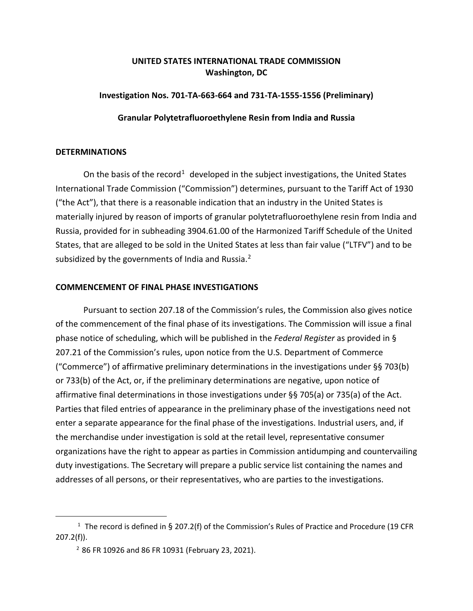# **UNITED STATES INTERNATIONAL TRADE COMMISSION Washington, DC**

## **Investigation Nos. 701-TA-663-664 and 731-TA-1555-1556 (Preliminary)**

#### **Granular Polytetrafluoroethylene Resin from India and Russia**

### **DETERMINATIONS**

On the basis of the record<sup>[1](#page-0-0)</sup> developed in the subject investigations, the United States International Trade Commission ("Commission") determines, pursuant to the Tariff Act of 1930 ("the Act"), that there is a reasonable indication that an industry in the United States is materially injured by reason of imports of granular polytetrafluoroethylene resin from India and Russia, provided for in subheading 3904.61.00 of the Harmonized Tariff Schedule of the United States, that are alleged to be sold in the United States at less than fair value ("LTFV") and to be subsidized by the governments of India and Russia.<sup>[2](#page-0-1)</sup>

### **COMMENCEMENT OF FINAL PHASE INVESTIGATIONS**

Pursuant to section 207.18 of the Commission's rules, the Commission also gives notice of the commencement of the final phase of its investigations. The Commission will issue a final phase notice of scheduling, which will be published in the *Federal Register* as provided in § 207.21 of the Commission's rules, upon notice from the U.S. Department of Commerce ("Commerce") of affirmative preliminary determinations in the investigations under §§ 703(b) or 733(b) of the Act, or, if the preliminary determinations are negative, upon notice of affirmative final determinations in those investigations under §§ 705(a) or 735(a) of the Act. Parties that filed entries of appearance in the preliminary phase of the investigations need not enter a separate appearance for the final phase of the investigations. Industrial users, and, if the merchandise under investigation is sold at the retail level, representative consumer organizations have the right to appear as parties in Commission antidumping and countervailing duty investigations. The Secretary will prepare a public service list containing the names and addresses of all persons, or their representatives, who are parties to the investigations.

<span id="page-0-1"></span><span id="page-0-0"></span><sup>&</sup>lt;sup>1</sup> The record is defined in § 207.2(f) of the Commission's Rules of Practice and Procedure (19 CFR 207.2(f)).

 $2$  86 FR 10926 and 86 FR 10931 (February 23, 2021).